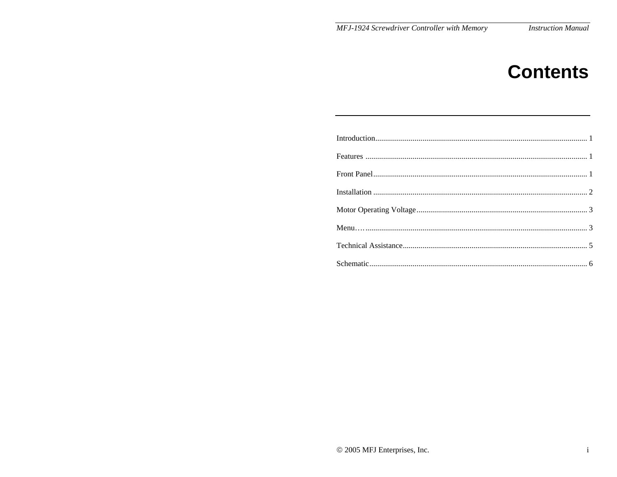# **Contents**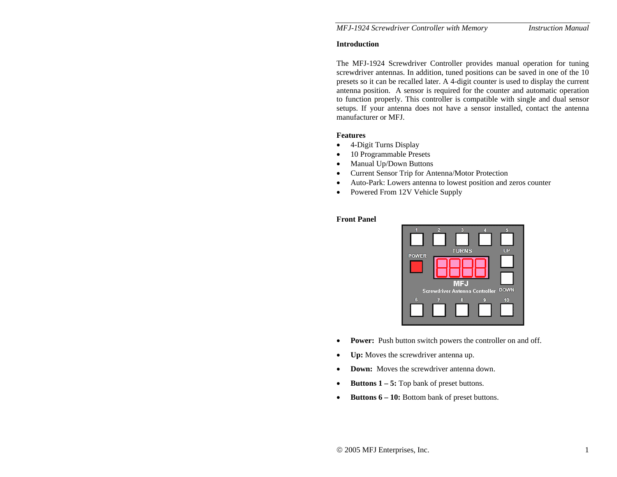#### **Introduction**

The MFJ-1924 Screwdriver Controller provides manual operation for tuning screwdriver antennas. In addition, tuned positions can be saved in one of the 10 presets so it can be recalled later. A 4-digit counter is used to display the current antenna position. A sensor is required for the counter and automatic operation to function properly. This controller is compatible with single and dual sensor setups. If your antenna does not have a sensor installed, contact the antenna manufacturer or MFJ.

#### **Features**

- •4-Digit Turns Display
- •10 Programmable Presets
- $\bullet$ Manual Up/Down Buttons
- •Current Sensor Trip for Antenna/Motor Protection
- •Auto-Park: Lowers antenna to lowest position and zeros counter
- $\bullet$ Powered From 12V Vehicle Supply

#### **Front Panel**



- $\bullet$ **Power:** Push button switch powers the controller on and off.
- •**Up:** Moves the screwdriver antenna up.
- •**Down:** Moves the screwdriver antenna down.
- •**Buttons 1 – 5:** Top bank of preset buttons.
- •**Buttons 6 – 10:** Bottom bank of preset buttons.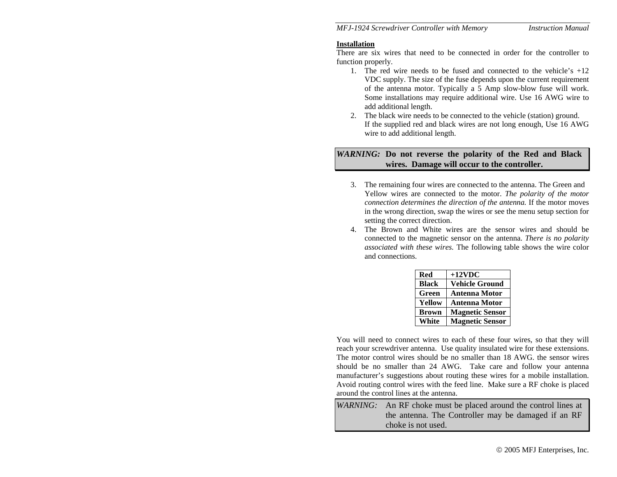#### **Installation**

There are six wires that need to be connected in order for the controller to function properly.

- 1. The red wire needs to be fused and connected to the vehicle's +12 VDC supply. The size of the fuse depends upon the current requirement of the antenna motor. Typically a 5 Amp slow-blow fuse will work. Some installations may require additional wire. Use 16 AWG wire to add additional length.
- 2. The black wire needs to be connected to the vehicle (station) ground. If the supplied red and black wires are not long enough, Use 16 AWG wire to add additional length.

## *WARNING:* **Do not reverse the polarity of the Red and Black wires. Damage will occur to the controller.**

- 3. The remaining four wires are connected to the antenna. The Green and Yellow wires are connected to the motor. *The polarity of the motor connection determines the direction of the antenna.* If the motor moves in the wrong direction, swap the wires or see the menu setup section for setting the correct direction.
- 4. The Brown and White wires are the sensor wires and should be connected to the magnetic sensor on the antenna. *There is no polarity associated with these wires.* The following table shows the wire color and connections.

| <b>Red</b>    | $+12$ VDC              |
|---------------|------------------------|
| <b>Black</b>  | <b>Vehicle Ground</b>  |
| Green         | <b>Antenna Motor</b>   |
| <b>Yellow</b> | <b>Antenna Motor</b>   |
| <b>Brown</b>  | <b>Magnetic Sensor</b> |
| White         | <b>Magnetic Sensor</b> |

You will need to connect wires to each of these four wires, so that they will reach your screwdriver antenna. Use quality insulated wire for these extensions. The motor control wires should be no smaller than 18 AWG. the sensor wires should be no smaller than 24 AWG. Take care and follow your antenna manufacturer's suggestions about routing these wires for a mobile installation. Avoid routing control wires with the feed line. Make sure a RF choke is placed around the control lines at the antenna.

|  | <i>WARNING</i> : An RF choke must be placed around the control lines at<br>the antenna. The Controller may be damaged if an RF |  |  |
|--|--------------------------------------------------------------------------------------------------------------------------------|--|--|
|  |                                                                                                                                |  |  |
|  | choke is not used.                                                                                                             |  |  |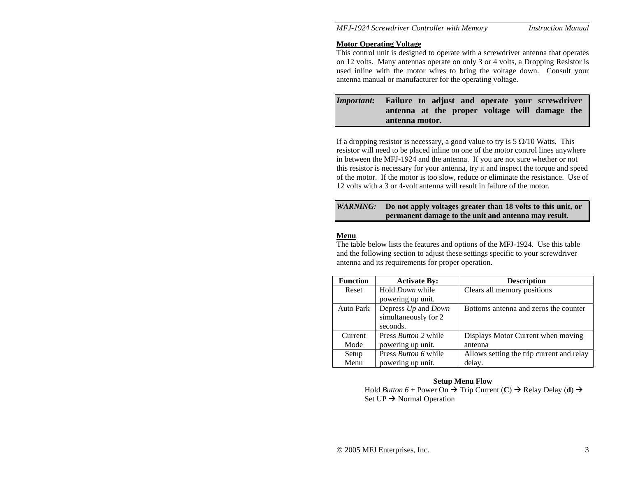#### **Motor Operating Voltage**

This control unit is designed to operate with a screwdriver antenna that operates on 12 volts. Many antennas operate on only 3 or 4 volts, a Dropping Resistor is used inline with the motor wires to bring the voltage down. Consult your antenna manual or manufacturer for the operating voltage.

# *Important:* **Failure to adjust and operate your screwdriver antenna at the proper voltage will damage the antenna motor.**

If a dropping resistor is necessary, a good value to try is  $5 \Omega/10$  Watts. This resistor will need to be placed inline on one of the motor control lines anywhere in between the MFJ-1924 and the antenna. If you are not sure whether or not this resistor is necessary for your antenna, try it and inspect the torque and speed of the motor. If the motor is too slow, reduce or eliminate the resistance. Use of 12 volts with a 3 or 4-volt antenna will result in failure of the motor.

## *WARNING:* **Do not apply voltages greater than 18 volts to this unit, or permanent damage to the unit and antenna may result.**

## **Menu**

The table below lists the features and options of the MFJ-1924. Use this table and the following section to adjust these settings specific to your screwdriver antenna and its requirements for proper operation.

| <b>Function</b>  | <b>Activate By:</b>         | <b>Description</b>                        |
|------------------|-----------------------------|-------------------------------------------|
| Reset            | Hold <i>Down</i> while      | Clears all memory positions               |
|                  | powering up unit.           |                                           |
| <b>Auto Park</b> | Depress Up and Down         | Bottoms antenna and zeros the counter     |
|                  | simultaneously for 2        |                                           |
|                  | seconds.                    |                                           |
| Current          | Press <i>Button</i> 2 while | Displays Motor Current when moving        |
| Mode             | powering up unit.           | antenna                                   |
| Setup            | Press <i>Button</i> 6 while | Allows setting the trip current and relay |
| Menu             | powering up unit.           | delay.                                    |

#### **Setup Menu Flow**

Hold *Button*  $6 +$  Power On  $\rightarrow$  Trip Current (C)  $\rightarrow$  Relay Delay (d)  $\rightarrow$ Set  $UP \rightarrow$  Normal Operation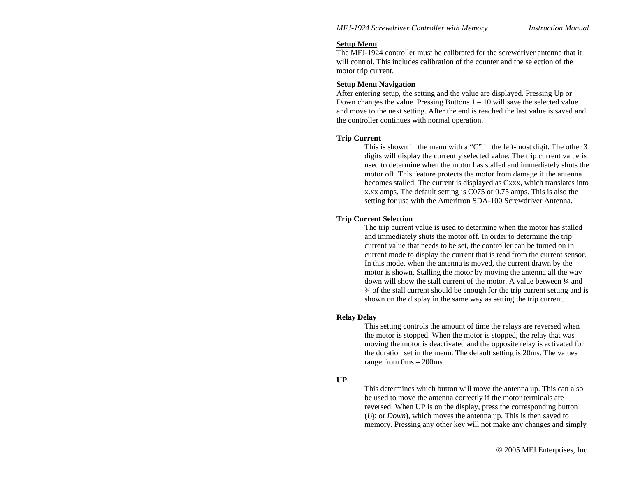#### **Setup Menu**

The MFJ-1924 controller must be calibrated for the screwdriver antenna that it will control. This includes calibration of the counter and the selection of the motor trip current.

## **Setup Menu Navigation**

After entering setup, the setting and the value are displayed. Pressing Up or Down changes the value. Pressing Buttons  $1 - 10$  will save the selected value and move to the next setting. After the end is reached the last value is saved and the controller continues with normal operation.

## **Trip Current**

This is shown in the menu with a "C" in the left-most digit. The other 3 digits will display the currently selected value. The trip current value is used to determine when the motor has stalled and immediately shuts the motor off. This feature protects the motor from damage if the antenna becomes stalled. The current is displayed as Cxxx, which translates into x.xx amps. The default setting is C075 or 0.75 amps. This is also the setting for use with the Ameritron SDA-100 Screwdriver Antenna.

## **Trip Current Selection**

The trip current value is used to determine when the motor has stalled and immediately shuts the motor off. In order to determine the trip current value that needs to be set, the controller can be turned on in current mode to display the current that is read from the current sensor. In this mode, when the antenna is moved, the current drawn by the motor is shown. Stalling the motor by moving the antenna all the way down will show the stall current of the motor. A value between ¼ and ¾ of the stall current should be enough for the trip current setting and is shown on the display in the same way as setting the trip current.

## **Relay Delay**

This setting controls the amount of time the relays are reversed when the motor is stopped. When the motor is stopped, the relay that was moving the motor is deactivated and the opposite relay is activated for the duration set in the menu. The default setting is 20ms. The values range from 0ms – 200ms.

## **UP**

This determines which button will move the antenna up. This can also be used to move the antenna correctly if the motor terminals are reversed. When UP is on the display, press the corresponding button (*Up* or *Down*), which moves the antenna up. This is then saved to memory. Pressing any other key will not make any changes and simply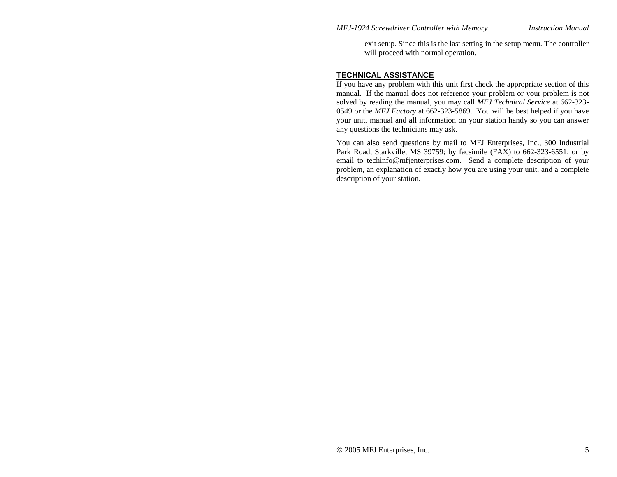exit setup. Since this is the last setting in the setup menu. The controller will proceed with normal operation.

### **TECHNICAL ASSISTANCE**

If you have any problem with this unit first check the appropriate section of this manual. If the manual does not reference your problem or your problem is not solved by reading the manual, you may call *MFJ Technical Service* at 662-323- 0549 or the *MFJ Factory* at 662-323-5869. You will be best helped if you have your unit, manual and all information on your station handy so you can answer any questions the technicians may ask.

You can also send questions by mail to MFJ Enterprises, Inc., 300 Industrial Park Road, Starkville, MS 39759; by facsimile (FAX) to 662-323-6551; or by email to techinfo@mfjenterprises.com. Send a complete description of your problem, an explanation of exactly how you are using your unit, and a complete description of your station.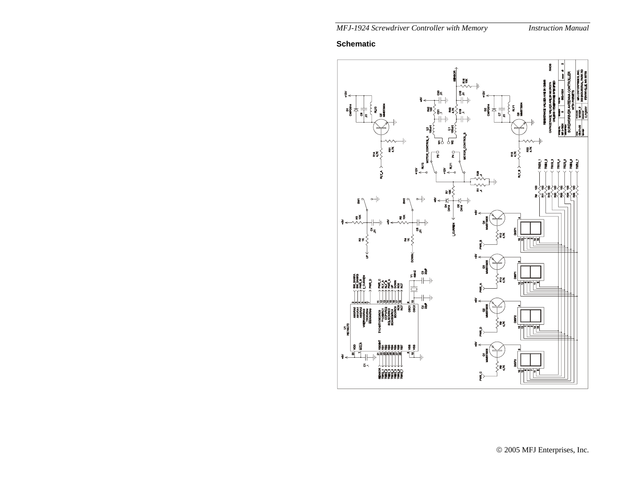# **Schematic**

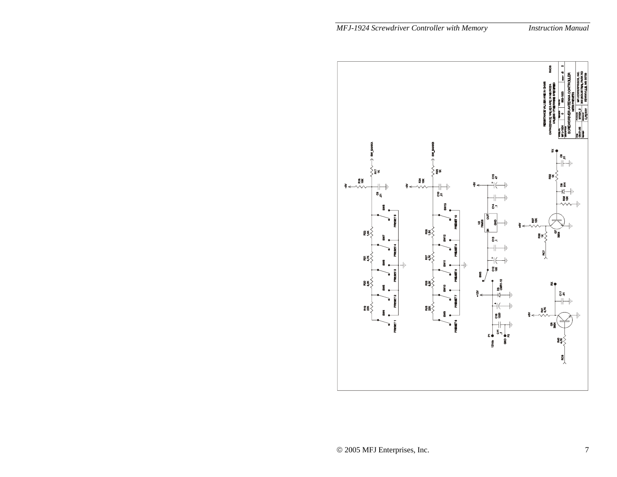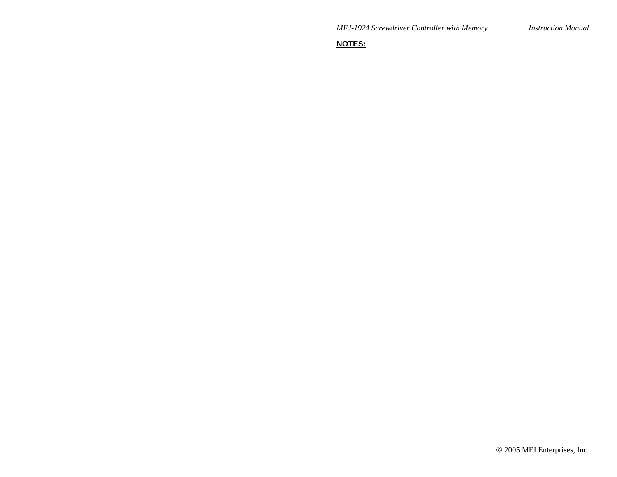**NOTES:**